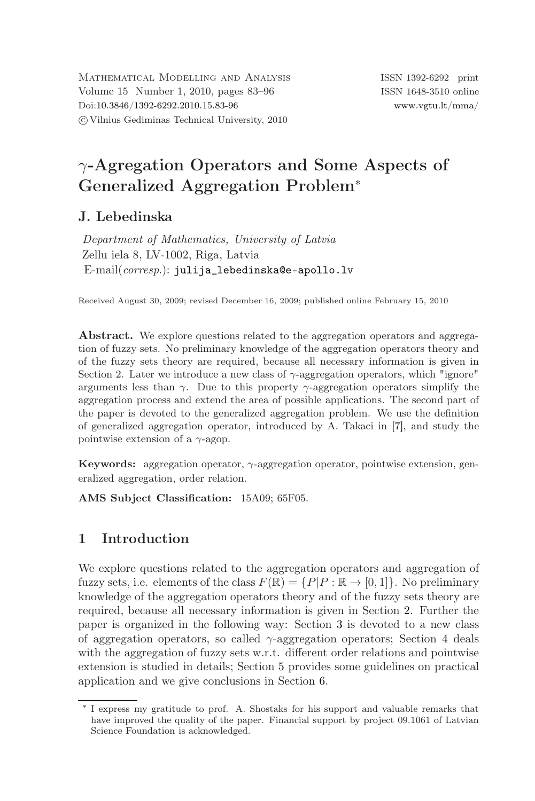# γ-Agregation Operators and Some Aspects of Generalized Aggregation Problem<sup>∗</sup>

# J. Lebedinska

*Department of Mathematics, University of Latvia* Zellu iela 8, LV-1002, Riga, Latvia E-mail(*corresp*.): [julija\\_lebedinska@e-apollo.lv](mailto:julija$_$lebedinska@e-apollo.lv)

Received August 30, 2009; revised December 16, 2009; published online February 15, 2010

Abstract. We explore questions related to the aggregation operators and aggregation of fuzzy sets. No preliminary knowledge of the aggregation operators theory and of the fuzzy sets theory are required, because all necessary information is given in Section 2. Later we introduce a new class of  $\gamma$ -aggregation operators, which "ignore" arguments less than  $\gamma$ . Due to this property  $\gamma$ -aggregation operators simplify the aggregation process and extend the area of possible applications. The second part of the paper is devoted to the generalized aggregation problem. We use the definition of generalized aggregation operator, introduced by A. Takaci in [\[7\]](#page-13-0), and study the pointwise extension of a  $\gamma$ -agop.

Keywords: aggregation operator,  $\gamma$ -aggregation operator, pointwise extension, generalized aggregation, order relation.

AMS Subject Classification: 15A09; 65F05.

# 1 Introduction

We explore questions related to the aggregation operators and aggregation of fuzzy sets, i.e. elements of the class  $F(\mathbb{R}) = \{P|P : \mathbb{R} \to [0,1]\}$ . No preliminary knowledge of the aggregation operators theory and of the fuzzy sets theory are required, because all necessary information is given in Section [2.](#page-1-0) Further the paper is organized in the following way: Section [3](#page-4-0) is devoted to a new class of aggregation operators, so called  $\gamma$ -aggregation operators; Section [4](#page-6-0) deals with the aggregation of fuzzy sets w.r.t. different order relations and pointwise extension is studied in details; Section [5](#page-12-0) provides some guidelines on practical application and we give conclusions in Section [6.](#page-13-1)

<sup>∗</sup> I express my gratitude to prof. A. Shostaks for his support and valuable remarks that have improved the quality of the paper. Financial support by project 09.1061 of Latvian Science Foundation is acknowledged.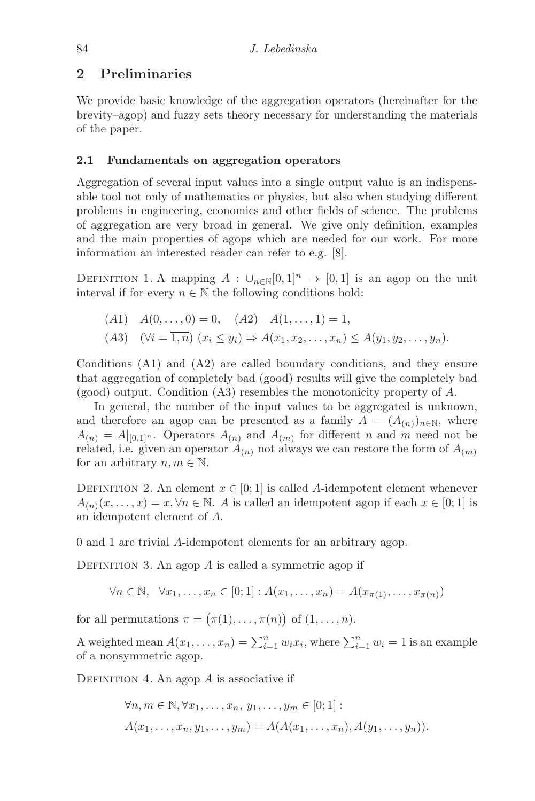### <span id="page-1-0"></span>2 Preliminaries

We provide basic knowledge of the aggregation operators (hereinafter for the brevity–agop) and fuzzy sets theory necessary for understanding the materials of the paper.

#### 2.1 Fundamentals on aggregation operators

Aggregation of several input values into a single output value is an indispensable tool not only of mathematics or physics, but also when studying different problems in engineering, economics and other fields of science. The problems of aggregation are very broad in general. We give only definition, examples and the main properties of agops which are needed for our work. For more information an interested reader can refer to e.g. [\[8\]](#page-13-2).

<span id="page-1-1"></span>DEFINITION 1. A mapping  $A : \bigcup_{n\in\mathbb{N}}[0,1]^n \to [0,1]$  is an agop on the unit interval if for every  $n \in \mathbb{N}$  the following conditions hold:

$$
(A1) \quad A(0, \ldots, 0) = 0, \quad (A2) \quad A(1, \ldots, 1) = 1,
$$
  

$$
(A3) \quad (\forall i = \overline{1, n}) \ (x_i \le y_i) \Rightarrow A(x_1, x_2, \ldots, x_n) \le A(y_1, y_2, \ldots, y_n).
$$

Conditions (A1) and (A2) are called boundary conditions, and they ensure that aggregation of completely bad (good) results will give the completely bad (good) output. Condition (A3) resembles the monotonicity property of A.

In general, the number of the input values to be aggregated is unknown, and therefore an agop can be presented as a family  $A = (A_{(n)})_{n \in \mathbb{N}}$ , where  $A_{(n)} = A|_{[0,1]^n}$ . Operators  $A_{(n)}$  and  $A_{(m)}$  for different n and m need not be related, i.e. given an operator  $A_{(n)}$  not always we can restore the form of  $A_{(m)}$ for an arbitrary  $n, m \in \mathbb{N}$ .

DEFINITION 2. An element  $x \in [0, 1]$  is called A-idempotent element whenever  $A_{(n)}(x,\ldots,x) = x, \forall n \in \mathbb{N}$ . A is called an idempotent agop if each  $x \in [0,1]$  is an idempotent element of A.

0 and 1 are trivial A-idempotent elements for an arbitrary agop.

DEFINITION 3. An agop  $A$  is called a symmetric agop if

$$
\forall n \in \mathbb{N}, \quad \forall x_1, \dots, x_n \in [0; 1]: A(x_1, \dots, x_n) = A(x_{\pi(1)}, \dots, x_{\pi(n)})
$$

for all permutations  $\pi = (\pi(1), \ldots, \pi(n))$  of  $(1, \ldots, n)$ .

A weighted mean  $A(x_1, \ldots, x_n) = \sum_{i=1}^n w_i x_i$ , where  $\sum_{i=1}^n w_i = 1$  is an example of a nonsymmetric agop.

DEFINITION 4. An agop  $A$  is associative if

$$
\forall n, m \in \mathbb{N}, \forall x_1, \dots, x_n, y_1, \dots, y_m \in [0; 1]:
$$
  

$$
A(x_1, \dots, x_n, y_1, \dots, y_m) = A(A(x_1, \dots, x_n), A(y_1, \dots, y_n)).
$$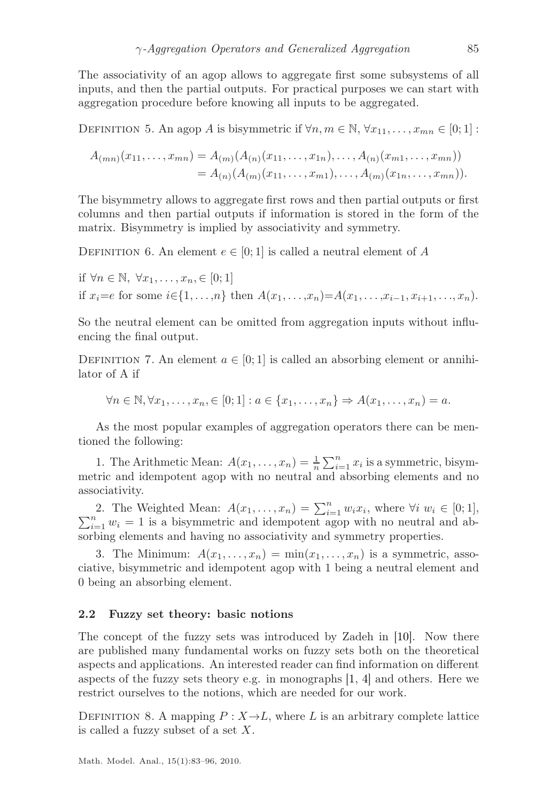The associativity of an agop allows to aggregate first some subsystems of all inputs, and then the partial outputs. For practical purposes we can start with aggregation procedure before knowing all inputs to be aggregated.

DEFINITION 5. An agop A is bisymmetric if  $\forall n, m \in \mathbb{N}, \forall x_{11}, \dots, x_{mn} \in [0, 1]$ :

$$
A_{(mn)}(x_{11},...,x_{mn}) = A_{(m)}(A_{(n)}(x_{11},...,x_{1n}),...,A_{(n)}(x_{m1},...,x_{mn}))
$$
  
=  $A_{(n)}(A_{(m)}(x_{11},...,x_{m1}),...,A_{(m)}(x_{1n},...,x_{mn})).$ 

The bisymmetry allows to aggregate first rows and then partial outputs or first columns and then partial outputs if information is stored in the form of the matrix. Bisymmetry is implied by associativity and symmetry.

DEFINITION 6. An element  $e \in [0, 1]$  is called a neutral element of A

if  $\forall n \in \mathbb{N}, \ \forall x_1, \ldots, x_n \in [0; 1]$ if  $x_i=e$  for some  $i\in\{1,\ldots,n\}$  then  $A(x_1,\ldots,x_n)=A(x_1,\ldots,x_{i-1},x_{i+1},\ldots,x_n)$ .

So the neutral element can be omitted from aggregation inputs without influencing the final output.

DEFINITION 7. An element  $a \in [0, 1]$  is called an absorbing element or annihilator of A if

 $\forall n \in \mathbb{N}, \forall x_1, \dots, x_n \in [0; 1] : a \in \{x_1, \dots, x_n\} \Rightarrow A(x_1, \dots, x_n) = a.$ 

As the most popular examples of aggregation operators there can be mentioned the following:

1. The Arithmetic Mean:  $A(x_1, \ldots, x_n) = \frac{1}{n} \sum_{i=1}^n x_i$  is a symmetric, bisymmetric and idempotent agop with no neutral and absorbing elements and no associativity.

2. The Weighted Mean:  $A(x_1, \ldots, x_n) = \sum_{i=1}^n w_i x_i$ 2. The Weighted Mean:  $A(x_1, \ldots, x_n) = \sum_{i=1}^n w_i x_i$ , where  $\forall i w_i \in [0; 1]$ ,  $\sum_{i=1}^n w_i = 1$  is a bisymmetric and idempotent agop with no neutral and absorbing elements and having no associativity and symmetry properties.

3. The Minimum:  $A(x_1, \ldots, x_n) = \min(x_1, \ldots, x_n)$  is a symmetric, associative, bisymmetric and idempotent agop with 1 being a neutral element and 0 being an absorbing element.

#### 2.2 Fuzzy set theory: basic notions

The concept of the fuzzy sets was introduced by Zadeh in [\[10\]](#page-13-3). Now there are published many fundamental works on fuzzy sets both on the theoretical aspects and applications. An interested reader can find information on different aspects of the fuzzy sets theory e.g. in monographs  $[1, 4]$  $[1, 4]$  and others. Here we restrict ourselves to the notions, which are needed for our work.

DEFINITION 8. A mapping  $P: X \rightarrow L$ , where L is an arbitrary complete lattice is called a fuzzy subset of a set  $X$ .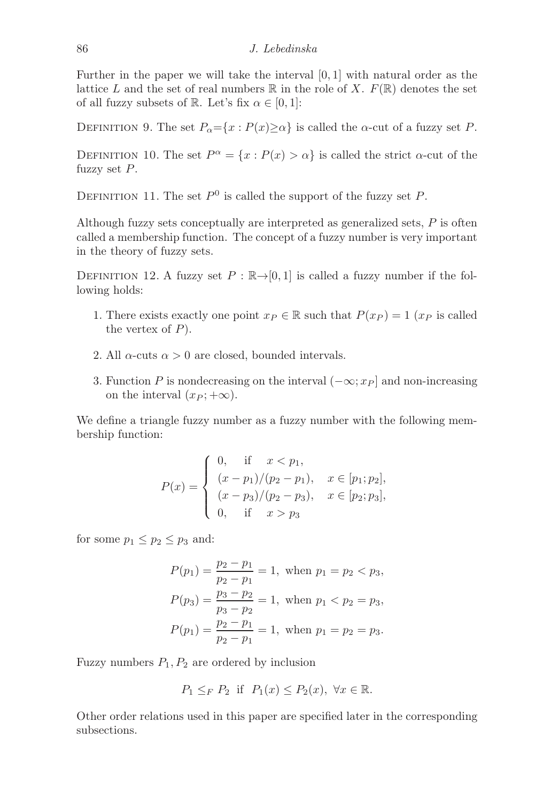Further in the paper we will take the interval [0, 1] with natural order as the lattice L and the set of real numbers  $\mathbb R$  in the role of X.  $F(\mathbb R)$  denotes the set of all fuzzy subsets of R. Let's fix  $\alpha \in [0,1]$ :

DEFINITION 9. The set  $P_{\alpha} = \{x : P(x) \ge \alpha\}$  is called the  $\alpha$ -cut of a fuzzy set P.

DEFINITION 10. The set  $P^{\alpha} = \{x : P(x) > \alpha\}$  is called the strict  $\alpha$ -cut of the fuzzy set P.

DEFINITION 11. The set  $P^0$  is called the support of the fuzzy set P.

Although fuzzy sets conceptually are interpreted as generalized sets,  $P$  is often called a membership function. The concept of a fuzzy number is very important in the theory of fuzzy sets.

DEFINITION 12. A fuzzy set  $P : \mathbb{R} \rightarrow [0, 1]$  is called a fuzzy number if the following holds:

- 1. There exists exactly one point  $x_P \in \mathbb{R}$  such that  $P(x_P) = 1$   $(x_P$  is called the vertex of  $P$ ).
- 2. All  $\alpha$ -cuts  $\alpha > 0$  are closed, bounded intervals.
- 3. Function P is nondecreasing on the interval  $(-\infty; x_P]$  and non-increasing on the interval  $(x_P; +\infty)$ .

We define a triangle fuzzy number as a fuzzy number with the following membership function:

$$
P(x) = \begin{cases} 0, & \text{if } x < p_1, \\ (x - p_1)/(p_2 - p_1), & x \in [p_1; p_2], \\ (x - p_3)/(p_2 - p_3), & x \in [p_2; p_3], \\ 0, & \text{if } x > p_3 \end{cases}
$$

for some  $p_1 \leq p_2 \leq p_3$  and:

$$
P(p_1) = \frac{p_2 - p_1}{p_2 - p_1} = 1, \text{ when } p_1 = p_2 < p_3,
$$
\n
$$
P(p_3) = \frac{p_3 - p_2}{p_3 - p_2} = 1, \text{ when } p_1 < p_2 = p_3,
$$
\n
$$
P(p_1) = \frac{p_2 - p_1}{p_2 - p_1} = 1, \text{ when } p_1 = p_2 = p_3.
$$

Fuzzy numbers  $P_1, P_2$  are ordered by inclusion

$$
P_1 \leq_F P_2 \text{ if } P_1(x) \leq P_2(x), \ \forall x \in \mathbb{R}.
$$

Other order relations used in this paper are specified later in the corresponding subsections.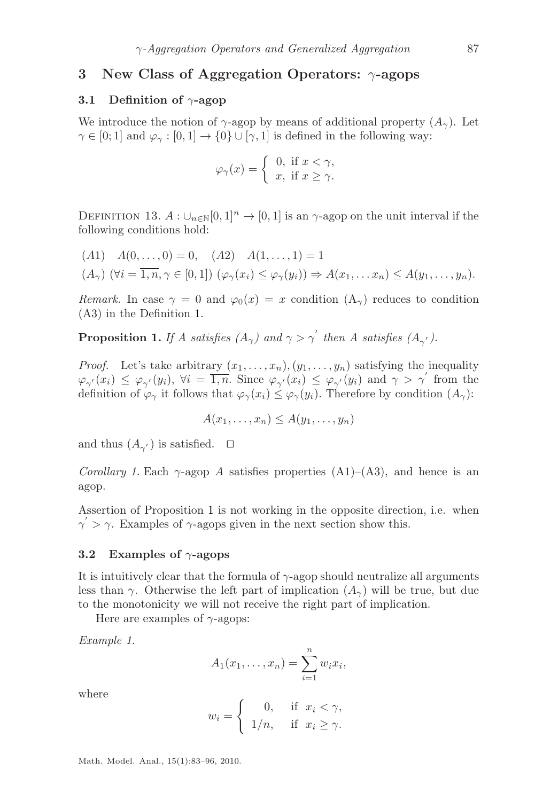#### <span id="page-4-0"></span>3 New Class of Aggregation Operators: γ-agops

#### 3.1 Definition of  $\gamma$ -agop

We introduce the notion of  $\gamma$ -agop by means of additional property  $(A_{\gamma})$ . Let  $\gamma \in [0; 1]$  and  $\varphi_{\gamma} : [0, 1] \to \{0\} \cup [\gamma, 1]$  is defined in the following way:

$$
\varphi_{\gamma}(x) = \begin{cases} 0, & \text{if } x < \gamma, \\ x, & \text{if } x \ge \gamma. \end{cases}
$$

DEFINITION 13.  $A: \bigcup_{n\in\mathbb{N}}[0,1]^n \to [0,1]$  is an  $\gamma$ -agop on the unit interval if the following conditions hold:

(A1) 
$$
A(0,...,0) = 0
$$
, (A2)  $A(1,...,1) = 1$   
( $A_{\gamma}$ ) ( $\forall i = \overline{1,n}, \gamma \in [0,1]$ )  $(\varphi_{\gamma}(x_i) \leq \varphi_{\gamma}(y_i)) \Rightarrow A(x_1,...x_n) \leq A(y_1,...,y_n)$ .

*Remark.* In case  $\gamma = 0$  and  $\varphi_0(x) = x$  condition  $(A_\gamma)$  reduces to condition (A3) in the Definition [1.](#page-1-1)

<span id="page-4-1"></span>**Proposition 1.** *If A satisfies*  $(A_{\gamma})$  and  $\gamma > \gamma'$  then A satisfies  $(A_{\gamma'})$ .

*Proof.* Let's take arbitrary  $(x_1, \ldots, x_n), (y_1, \ldots, y_n)$  satisfying the inequality  $\varphi_{\gamma}(x_i) \leq \varphi_{\gamma}(y_i)$ ,  $\forall i = \overline{1,n}$ . Since  $\varphi_{\gamma}(x_i) \leq \varphi_{\gamma}(y_i)$  and  $\gamma > \gamma'$  from the definition of  $\varphi_{\gamma}$  it follows that  $\varphi_{\gamma}(x_i) \leq \varphi_{\gamma}(y_i)$ . Therefore by condition  $(A_{\gamma})$ :

$$
A(x_1,\ldots,x_n)\leq A(y_1,\ldots,y_n)
$$

and thus  $(A_{\gamma'})$  is satisfied.  $\Box$ 

*Corollary 1.* Each  $\gamma$ -agop A satisfies properties  $(A1)$ – $(A3)$ , and hence is an agop.

Assertion of Proposition [1](#page-4-1) is not working in the opposite direction, i.e. when  $\gamma$  > γ. Examples of γ-agops given in the next section show this.

#### 3.2 Examples of  $\gamma$ -agops

It is intuitively clear that the formula of  $\gamma$ -agop should neutralize all arguments less than γ. Otherwise the left part of implication  $(A_{\gamma})$  will be true, but due to the monotonicity we will not receive the right part of implication.

Here are examples of  $\gamma$ -agops:

*Example 1.*

$$
A_1(x_1,\ldots,x_n)=\sum_{i=1}^n w_i x_i,
$$

where

$$
w_i = \begin{cases} 0, & \text{if } x_i < \gamma, \\ 1/n, & \text{if } x_i \ge \gamma. \end{cases}
$$

Math. Model. Anal., 15(1):83–96, 2010.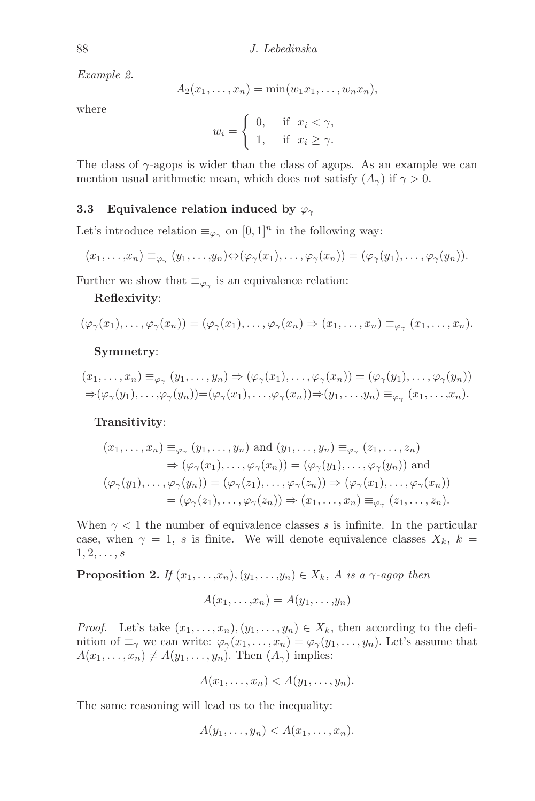*Example 2.*

$$
A_2(x_1,\ldots,x_n)=\min(w_1x_1,\ldots,w_nx_n),
$$

where

$$
w_i = \begin{cases} 0, & \text{if } x_i < \gamma, \\ 1, & \text{if } x_i \ge \gamma. \end{cases}
$$

The class of  $\gamma$ -agops is wider than the class of agops. As an example we can mention usual arithmetic mean, which does not satisfy  $(A_{\gamma})$  if  $\gamma > 0$ .

#### 3.3 Equivalence relation induced by  $\varphi_{\gamma}$

Let's introduce relation  $\equiv_{\varphi_{\gamma}}$  on  $[0, 1]^n$  in the following way:

$$
(x_1,\ldots,x_n)\equiv_{\varphi_\gamma} (y_1,\ldots,y_n)\Leftrightarrow (\varphi_\gamma(x_1),\ldots,\varphi_\gamma(x_n))=(\varphi_\gamma(y_1),\ldots,\varphi_\gamma(y_n)).
$$

Further we show that  $\equiv_{\varphi_{\gamma}}$  is an equivalence relation:

#### Reflexivity:

$$
(\varphi_{\gamma}(x_1),\ldots,\varphi_{\gamma}(x_n))=(\varphi_{\gamma}(x_1),\ldots,\varphi_{\gamma}(x_n)\Rightarrow (x_1,\ldots,x_n)\equiv_{\varphi_{\gamma}}(x_1,\ldots,x_n).
$$

#### Symmetry:

$$
(x_1, \ldots, x_n) \equiv_{\varphi_\gamma} (y_1, \ldots, y_n) \Rightarrow (\varphi_\gamma(x_1), \ldots, \varphi_\gamma(x_n)) = (\varphi_\gamma(y_1), \ldots, \varphi_\gamma(y_n))
$$
  

$$
\Rightarrow (\varphi_\gamma(y_1), \ldots, \varphi_\gamma(y_n)) = (\varphi_\gamma(x_1), \ldots, \varphi_\gamma(x_n)) \Rightarrow (y_1, \ldots, y_n) \equiv_{\varphi_\gamma} (x_1, \ldots, x_n).
$$

#### Transitivity:

$$
(x_1, \ldots, x_n) \equiv_{\varphi_\gamma} (y_1, \ldots, y_n) \text{ and } (y_1, \ldots, y_n) \equiv_{\varphi_\gamma} (z_1, \ldots, z_n)
$$
  
\n
$$
\Rightarrow (\varphi_\gamma(x_1), \ldots, \varphi_\gamma(x_n)) = (\varphi_\gamma(y_1), \ldots, \varphi_\gamma(y_n)) \text{ and }
$$
  
\n
$$
(\varphi_\gamma(y_1), \ldots, \varphi_\gamma(y_n)) = (\varphi_\gamma(z_1), \ldots, \varphi_\gamma(z_n)) \Rightarrow (\varphi_\gamma(x_1), \ldots, \varphi_\gamma(x_n))
$$
  
\n
$$
= (\varphi_\gamma(z_1), \ldots, \varphi_\gamma(z_n)) \Rightarrow (x_1, \ldots, x_n) \equiv_{\varphi_\gamma} (z_1, \ldots, z_n).
$$

When  $\gamma$  < 1 the number of equivalence classes s is infinite. In the particular case, when  $\gamma = 1$ , s is finite. We will denote equivalence classes  $X_k$ ,  $k =$  $1, 2, \ldots, s$ 

<span id="page-5-0"></span>**Proposition 2.** *If*  $(x_1, \ldots, x_n), (y_1, \ldots, y_n) \in X_k$ , A *is a*  $\gamma$ *-agop then* 

$$
A(x_1,\ldots,x_n)=A(y_1,\ldots,y_n)
$$

*Proof.* Let's take  $(x_1, \ldots, x_n), (y_1, \ldots, y_n) \in X_k$ , then according to the definition of  $\equiv_\gamma$  we can write:  $\varphi_\gamma(x_1,\ldots,x_n) = \varphi_\gamma(y_1,\ldots,y_n)$ . Let's assume that  $A(x_1, \ldots, x_n) \neq A(y_1, \ldots, y_n)$ . Then  $(A_\gamma)$  implies:

$$
A(x_1,\ldots,x_n) < A(y_1,\ldots,y_n).
$$

The same reasoning will lead us to the inequality:

$$
A(y_1,\ldots,y_n) < A(x_1,\ldots,x_n).
$$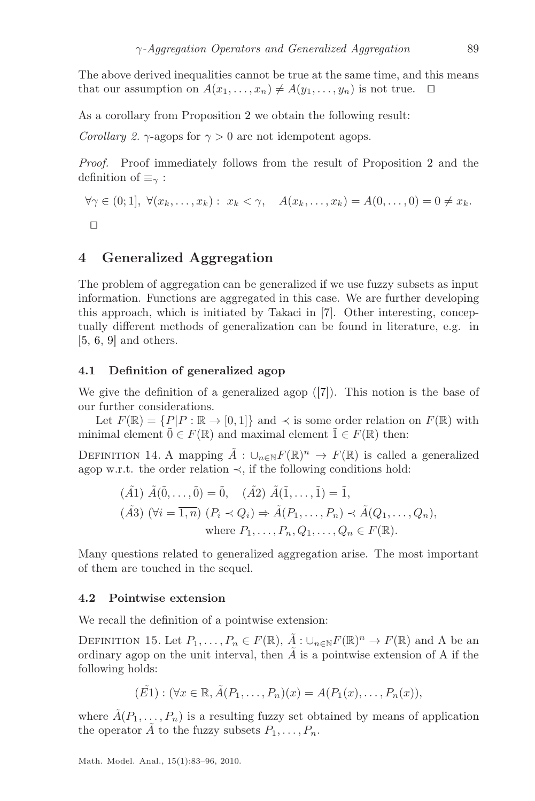The above derived inequalities cannot be true at the same time, and this means that our assumption on  $A(x_1, \ldots, x_n) \neq A(y_1, \ldots, y_n)$  is not true. □

As a corollary from Proposition [2](#page-5-0) we obtain the following result:

*Corollary 2.*  $\gamma$ -agops for  $\gamma > 0$  are not idempotent agops.

*Proof.* Proof immediately follows from the result of Proposition [2](#page-5-0) and the definition of  $\equiv_\gamma$ :

$$
\forall \gamma \in (0;1], \ \forall (x_k,\ldots,x_k): \ x_k < \gamma, \quad A(x_k,\ldots,x_k) = A(0,\ldots,0) = 0 \neq x_k.
$$

### <span id="page-6-0"></span>4 Generalized Aggregation

The problem of aggregation can be generalized if we use fuzzy subsets as input information. Functions are aggregated in this case. We are further developing this approach, which is initiated by Takaci in [\[7\]](#page-13-0). Other interesting, conceptually different methods of generalization can be found in literature, e.g. in [\[5,](#page-13-6) [6,](#page-13-7) [9\]](#page-13-8) and others.

#### <span id="page-6-1"></span>4.1 Definition of generalized agop

We give the definition of a generalized agop ([\[7\]](#page-13-0)). This notion is the base of our further considerations.

Let  $F(\mathbb{R}) = \{P|P : \mathbb{R} \to [0,1]\}$  and  $\prec$  is some order relation on  $F(\mathbb{R})$  with minimal element  $\tilde{0} \in F(\mathbb{R})$  and maximal element  $\tilde{1} \in F(\mathbb{R})$  then:

DEFINITION 14. A mapping  $\tilde{A}: \cup_{n\in\mathbb{N}} F(\mathbb{R})^n \to F(\mathbb{R})$  is called a generalized agop w.r.t. the order relation  $\prec$ , if the following conditions hold:

<span id="page-6-2"></span>
$$
(\tilde{A}1) \tilde{A}(\tilde{0},\ldots,\tilde{0}) = \tilde{0}, \quad (\tilde{A}2) \tilde{A}(\tilde{1},\ldots,\tilde{1}) = \tilde{1},
$$
  

$$
(\tilde{A}3) (\forall i = \overline{1,n}) (P_i \prec Q_i) \Rightarrow \tilde{A}(P_1,\ldots,P_n) \prec \tilde{A}(Q_1,\ldots,Q_n),
$$
  
where  $P_1,\ldots,P_n,Q_1,\ldots,Q_n \in F(\mathbb{R})$ .

Many questions related to generalized aggregation arise. The most important of them are touched in the sequel.

#### 4.2 Pointwise extension

We recall the definition of a pointwise extension:

DEFINITION 15. Let  $P_1, \ldots, P_n \in F(\mathbb{R}), \tilde{A}: \bigcup_{n \in \mathbb{N}} F(\mathbb{R})^n \to F(\mathbb{R})$  and A be an ordinary agop on the unit interval, then  $\tilde{A}$  is a pointwise extension of A if the following holds:

$$
(\tilde{E1}) : (\forall x \in \mathbb{R}, \tilde{A}(P_1, \ldots, P_n)(x) = A(P_1(x), \ldots, P_n(x)),
$$

where  $\tilde{A}(P_1, \ldots, P_n)$  is a resulting fuzzy set obtained by means of application the operator  $\tilde{A}$  to the fuzzy subsets  $P_1, \ldots, P_n$ .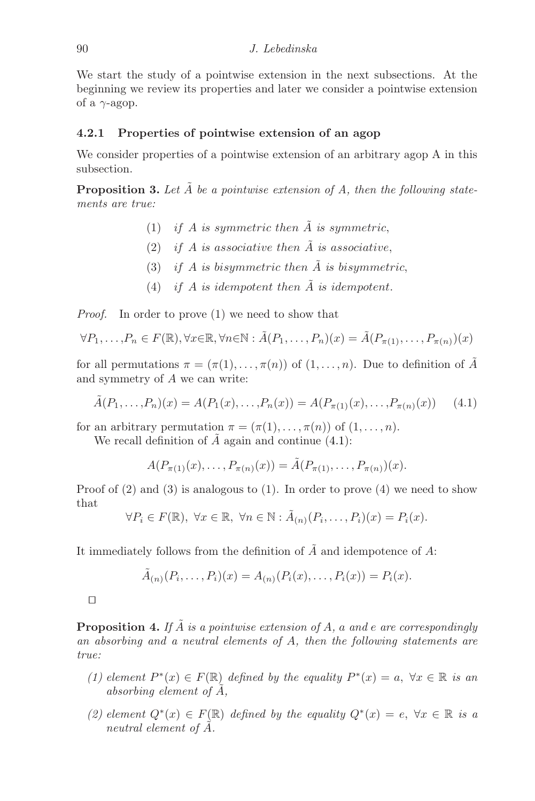We start the study of a pointwise extension in the next subsections. At the beginning we review its properties and later we consider a pointwise extension of a  $\gamma$ -agop.

#### 4.2.1 Properties of pointwise extension of an agop

We consider properties of a pointwise extension of an arbitrary agop A in this subsection.

**Proposition 3.** Let  $\tilde{A}$  be a pointwise extension of A, then the following state*ments are true:*

- (1) *if A is symmetric then*  $\tilde{A}$  *is symmetric*,
- (2) *if* A *is associative then*  $\tilde{A}$  *is associative*,
- (3) *if A is bisymmetric then*  $\tilde{A}$  *is bisymmetric*,
- (4) *if*  $A$  *is idempotent then*  $\tilde{A}$  *is idempotent.*

*Proof.* In order to prove (1) we need to show that

$$
\forall P_1, \ldots, P_n \in F(\mathbb{R}), \forall x \in \mathbb{R}, \forall n \in \mathbb{N} : \tilde{A}(P_1, \ldots, P_n)(x) = \tilde{A}(P_{\pi(1)}, \ldots, P_{\pi(n)})(x)
$$

for all permutations  $\pi = (\pi(1), \ldots, \pi(n))$  of  $(1, \ldots, n)$ . Due to definition of  $\tilde{A}$ and symmetry of A we can write:

$$
\tilde{A}(P_1, \ldots, P_n)(x) = A(P_1(x), \ldots, P_n(x)) = A(P_{\pi(1)}(x), \ldots, P_{\pi(n)}(x)) \tag{4.1}
$$

for an arbitrary permutation  $\pi = (\pi(1), \ldots, \pi(n))$  of  $(1, \ldots, n)$ .

We recall definition of  $\ddot{A}$  again and continue [\(4.1\)](#page-7-0):

<span id="page-7-0"></span>
$$
A(P_{\pi(1)}(x),...,P_{\pi(n)}(x)) = \tilde{A}(P_{\pi(1)},...,P_{\pi(n)})(x).
$$

Proof of  $(2)$  and  $(3)$  is analogous to  $(1)$ . In order to prove  $(4)$  we need to show that

$$
\forall P_i \in F(\mathbb{R}), \ \forall x \in \mathbb{R}, \ \forall n \in \mathbb{N} : \tilde{A}_{(n)}(P_i, \dots, P_i)(x) = P_i(x).
$$

It immediately follows from the definition of  $\tilde{A}$  and idempotence of  $A$ :

$$
\tilde{A}_{(n)}(P_i,\ldots,P_i)(x) = A_{(n)}(P_i(x),\ldots,P_i(x)) = P_i(x).
$$

⊓⊔

**Proposition 4.** If  $\tilde{A}$  is a pointwise extension of A, a and e are correspondingly *an absorbing and a neutral elements of* A*, then the following statements are true:*

- (1) element  $P^*(x) \in F(\mathbb{R})$  defined by the equality  $P^*(x) = a$ ,  $\forall x \in \mathbb{R}$  is an *absorbing element of* A˜*,*
- (2) element  $Q^*(x)$  ∈  $F(\mathbb{R})$  defined by the equality  $Q^*(x) = e$ ,  $\forall x \in \mathbb{R}$  is a *neutral element of A.*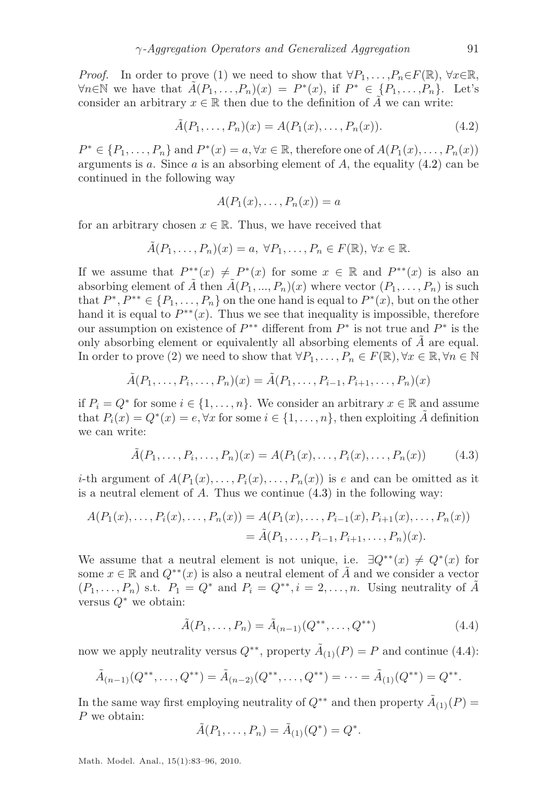*Proof.* In order to prove (1) we need to show that  $\forall P_1, \ldots, P_n \in F(\mathbb{R})$ ,  $\forall x \in \mathbb{R}$ ,  $\forall n \in \mathbb{N}$  we have that  $\tilde{A}(P_1, \ldots, P_n)(x) = P^*(x)$ , if  $P^* \in \{P_1, \ldots, P_n\}$ . Let's consider an arbitrary  $x \in \mathbb{R}$  then due to the definition of  $\tilde{A}$  we can write:

$$
\tilde{A}(P_1, \dots, P_n)(x) = A(P_1(x), \dots, P_n(x)).
$$
\n(4.2)

 $P^* \in \{P_1, \ldots, P_n\}$  and  $P^*(x) = a, \forall x \in \mathbb{R}$ , therefore one of  $A(P_1(x), \ldots, P_n(x))$ arguments is a. Since a is an absorbing element of  $A$ , the equality  $(4.2)$  can be continued in the following way

<span id="page-8-0"></span>
$$
A(P_1(x),\ldots,P_n(x))=a
$$

for an arbitrary chosen  $x \in \mathbb{R}$ . Thus, we have received that

$$
\tilde{A}(P_1,\ldots,P_n)(x)=a,\ \forall P_1,\ldots,P_n\in F(\mathbb{R}),\ \forall x\in\mathbb{R}.
$$

If we assume that  $P^{**}(x) \neq P^{*}(x)$  for some  $x \in \mathbb{R}$  and  $P^{**}(x)$  is also an absorbing element of  $\tilde{A}$  then  $\tilde{A}(P_1, ..., P_n)(x)$  where vector  $(P_1, ..., P_n)$  is such that  $P^*, P^{**} \in \{P_1, \ldots, P_n\}$  on the one hand is equal to  $P^*(x)$ , but on the other hand it is equal to  $P^{**}(x)$ . Thus we see that inequality is impossible, therefore our assumption on existence of  $P^{**}$  different from  $P^*$  is not true and  $P^*$  is the only absorbing element or equivalently all absorbing elements of  $A$  are equal. In order to prove (2) we need to show that  $\forall P_1, \ldots, P_n \in F(\mathbb{R}), \forall x \in \mathbb{R}, \forall n \in \mathbb{N}$ 

$$
\tilde{A}(P_1, \ldots, P_i, \ldots, P_n)(x) = \tilde{A}(P_1, \ldots, P_{i-1}, P_{i+1}, \ldots, P_n)(x)
$$

if  $P_i = Q^*$  for some  $i \in \{1, ..., n\}$ . We consider an arbitrary  $x \in \mathbb{R}$  and assume that  $P_i(x) = Q^*(x) = e, \forall x$  for some  $i \in \{1, ..., n\}$ , then exploiting  $\tilde{A}$  definition we can write:

<span id="page-8-1"></span>
$$
\tilde{A}(P_1, \dots, P_i, \dots, P_n)(x) = A(P_1(x), \dots, P_i(x), \dots, P_n(x))
$$
\n(4.3)

*i*-th argument of  $A(P_1(x),...,P_i(x),...,P_n(x))$  is e and can be omitted as it is a neutral element of  $A$ . Thus we continue  $(4.3)$  in the following way:

$$
A(P_1(x),...,P_i(x),...,P_n(x)) = A(P_1(x),...,P_{i-1}(x),P_{i+1}(x),...,P_n(x))
$$
  
=  $\tilde{A}(P_1,...,P_{i-1},P_{i+1},...,P_n)(x).$ 

We assume that a neutral element is not unique, i.e.  $\exists Q^{**}(x) \neq Q^{*}(x)$  for some  $x \in \mathbb{R}$  and  $Q^{**}(x)$  is also a neutral element of A and we consider a vector  $(P_1, \ldots, P_n)$  s.t.  $P_1 = Q^*$  and  $P_i = Q^{**}, i = 2, \ldots, n$ . Using neutrality of A versus  $Q^*$  we obtain:

<span id="page-8-2"></span>
$$
\tilde{A}(P_1, \dots, P_n) = \tilde{A}_{(n-1)}(Q^{**}, \dots, Q^{**})
$$
\n(4.4)

now we apply neutrality versus  $Q^{**}$ , property  $\tilde{A}_{(1)}(P) = P$  and continue [\(4.4\)](#page-8-2):

$$
\tilde{A}_{(n-1)}(Q^{**},\ldots,Q^{**})=\tilde{A}_{(n-2)}(Q^{**},\ldots,Q^{**})=\cdots=\tilde{A}_{(1)}(Q^{**})=Q^{**}.
$$

In the same way first employing neutrality of  $Q^{**}$  and then property  $\tilde{A}_{(1)}(P)$  = P we obtain:

$$
\tilde{A}(P_1,\ldots,P_n) = \tilde{A}_{(1)}(Q^*) = Q^*.
$$

Math. Model. Anal., 15(1):83–96, 2010.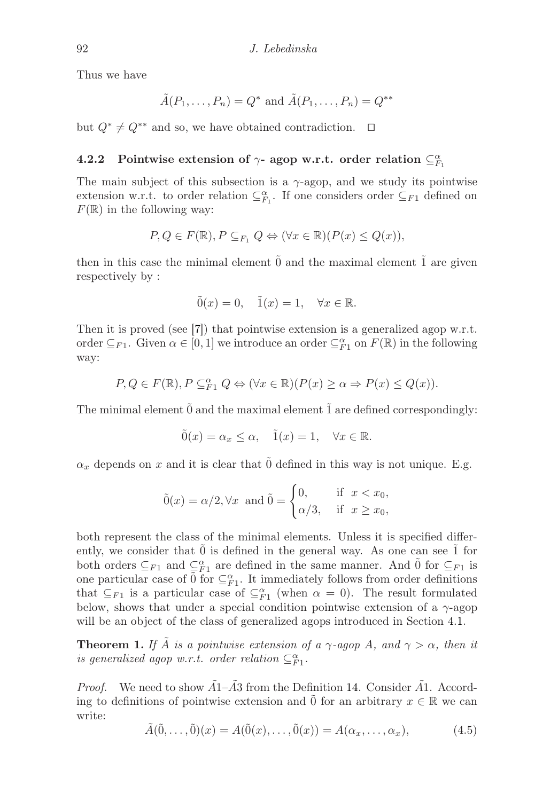Thus we have

$$
\tilde{A}(P_1,\ldots,P_n)=Q^* \text{ and } \tilde{A}(P_1,\ldots,P_n)=Q^{**}
$$

but  $Q^* \neq Q^{**}$  and so, we have obtained contradiction.  $\Box$ 

# 4.2.2 Pointwise extension of  $\gamma$ - agop w.r.t. order relation  $\subseteq_{F_1}^{\alpha}$

The main subject of this subsection is a  $\gamma$ -agop, and we study its pointwise extension w.r.t. to order relation  $\subseteq_{F_1}^{\alpha}$ . If one considers order  $\subseteq_{F_1}$  defined on  $F(\mathbb{R})$  in the following way:

$$
P, Q \in F(\mathbb{R}), P \subseteq_{F_1} Q \Leftrightarrow (\forall x \in \mathbb{R})(P(x) \le Q(x)),
$$

then in this case the minimal element  $\hat{0}$  and the maximal element  $\hat{1}$  are given respectively by :

$$
\tilde{0}(x) = 0, \quad \tilde{1}(x) = 1, \quad \forall x \in \mathbb{R}.
$$

Then it is proved (see [\[7\]](#page-13-0)) that pointwise extension is a generalized agop w.r.t. order  $\subseteq F_1$ . Given  $\alpha \in [0,1]$  we introduce an order  $\subseteq^{\alpha}_{F_1}$  on  $F(\mathbb{R})$  in the following way:

$$
P, Q \in F(\mathbb{R}), P \subseteq_{F1}^{\alpha} Q \Leftrightarrow (\forall x \in \mathbb{R})(P(x) \ge \alpha \Rightarrow P(x) \le Q(x)).
$$

The minimal element  $\tilde{0}$  and the maximal element  $\tilde{1}$  are defined correspondingly:

$$
\tilde{0}(x) = \alpha_x \le \alpha, \quad \tilde{1}(x) = 1, \quad \forall x \in \mathbb{R}.
$$

 $\alpha_x$  depends on x and it is clear that  $\tilde{0}$  defined in this way is not unique. E.g.

$$
\tilde{0}(x) = \alpha/2, \forall x \text{ and } \tilde{0} = \begin{cases} 0, & \text{if } x < x_0, \\ \alpha/3, & \text{if } x \ge x_0, \end{cases}
$$

both represent the class of the minimal elements. Unless it is specified differently, we consider that  $\hat{0}$  is defined in the general way. As one can see  $\hat{1}$  for both orders  $\subseteq_{F1}$  and  $\subseteq_{F1}^{\alpha}$  are defined in the same manner. And  $\tilde{0}$  for  $\subseteq_{F1}$  is one particular case of  $\tilde{0}$  for  $\subseteq_{F_1}^{\alpha}$ . It immediately follows from order definitions that  $\subseteq_{F_1}$  is a particular case of  $\subseteq_{F_1}^{\alpha}$  (when  $\alpha = 0$ ). The result formulated below, shows that under a special condition pointwise extension of a  $\gamma$ -agop will be an object of the class of generalized agops introduced in Section [4.1.](#page-6-1)

**Theorem 1.** *If*  $\tilde{A}$  *is a pointwise extension of a*  $\gamma$ -agop  $A$ *, and*  $\gamma > \alpha$ *, then it is generalized agop w.r.t. order relation*  $\subseteq_{F1}^{\alpha}$ .

*Proof.* We need to show  $\tilde{A}1-\tilde{A}3$  from the Definition [14.](#page-6-2) Consider  $\tilde{A}1$ . According to definitions of pointwise extension and  $\tilde{0}$  for an arbitrary  $x \in \mathbb{R}$  we can write:

<span id="page-9-0"></span>
$$
\tilde{A}(\tilde{0},\ldots,\tilde{0})(x) = A(\tilde{0}(x),\ldots,\tilde{0}(x)) = A(\alpha_x,\ldots,\alpha_x),\tag{4.5}
$$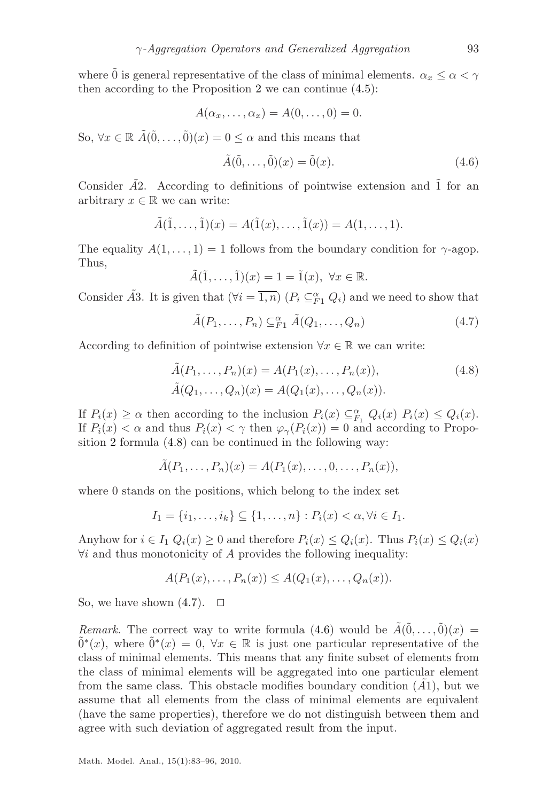where  $\tilde{0}$  is general representative of the class of minimal elements.  $\alpha_x \leq \alpha < \gamma$ then according to the Proposition [2](#page-5-0) we can continue [\(4.5\)](#page-9-0):

$$
A(\alpha_x,\ldots,\alpha_x)=A(0,\ldots,0)=0.
$$

So,  $\forall x \in \mathbb{R} \ \tilde{A}(\tilde{0}, \ldots, \tilde{0})(x) = 0 \leq \alpha$  and this means that

<span id="page-10-2"></span><span id="page-10-1"></span>
$$
\tilde{A}(\tilde{0}, \dots, \tilde{0})(x) = \tilde{0}(x). \tag{4.6}
$$

Consider  $\tilde{A}2$ . According to definitions of pointwise extension and  $\tilde{1}$  for an arbitrary  $x \in \mathbb{R}$  we can write:

$$
\tilde{A}(\tilde{1},\ldots,\tilde{1})(x) = A(\tilde{1}(x),\ldots,\tilde{1}(x)) = A(1,\ldots,1).
$$

The equality  $A(1, \ldots, 1) = 1$  follows from the boundary condition for  $\gamma$ -agop. Thus,

$$
\tilde{A}(\tilde{1},\ldots,\tilde{1})(x) = 1 = \tilde{1}(x), \ \forall x \in \mathbb{R}.
$$

Consider  $\tilde{A}3$ . It is given that  $(\forall i = \overline{1,n})$   $(P_i \subseteq_{F_1}^{\alpha} Q_i)$  and we need to show that

<span id="page-10-0"></span>
$$
\tilde{A}(P_1,\ldots,P_n) \subseteq_{F1}^{\alpha} \tilde{A}(Q_1,\ldots,Q_n)
$$
\n(4.7)

According to definition of pointwise extension  $\forall x \in \mathbb{R}$  we can write:

$$
\tilde{A}(P_1, \dots, P_n)(x) = A(P_1(x), \dots, P_n(x)),
$$
\n
$$
\tilde{A}(Q_1, \dots, Q_n)(x) = A(Q_1(x), \dots, Q_n(x)).
$$
\n(4.8)

If  $P_i(x) \ge \alpha$  then according to the inclusion  $P_i(x) \subseteq_{F_1}^{\alpha} Q_i(x) P_i(x) \le Q_i(x)$ . If  $P_i(x) < \alpha$  and thus  $P_i(x) < \gamma$  then  $\varphi_\gamma(P_i(x)) = 0$  and according to Proposition [2](#page-5-0) formula [\(4.8\)](#page-10-0) can be continued in the following way:

$$
\tilde{A}(P_1,\ldots,P_n)(x) = A(P_1(x),\ldots,0,\ldots,P_n(x)),
$$

where 0 stands on the positions, which belong to the index set

$$
I_1 = \{i_1, ..., i_k\} \subseteq \{1, ..., n\} : P_i(x) < \alpha, \forall i \in I_1.
$$

Anyhow for  $i \in I_1 \ Q_i(x) \geq 0$  and therefore  $P_i(x) \leq Q_i(x)$ . Thus  $P_i(x) \leq Q_i(x)$  $\forall i$  and thus monotonicity of A provides the following inequality:

$$
A(P_1(x),\ldots,P_n(x))\leq A(Q_1(x),\ldots,Q_n(x)).
$$

So, we have shown  $(4.7)$ . □

*Remark.* The correct way to write formula [\(4.6\)](#page-10-2) would be  $\tilde{A}(\tilde{0}, \ldots, \tilde{0})(x) =$  $\tilde{0}^*(x)$ , where  $\tilde{0}^*(x) = 0$ ,  $\forall x \in \mathbb{R}$  is just one particular representative of the class of minimal elements. This means that any finite subset of elements from the class of minimal elements will be aggregated into one particular element from the same class. This obstacle modifies boundary condition  $(A1)$ , but we assume that all elements from the class of minimal elements are equivalent (have the same properties), therefore we do not distinguish between them and agree with such deviation of aggregated result from the input.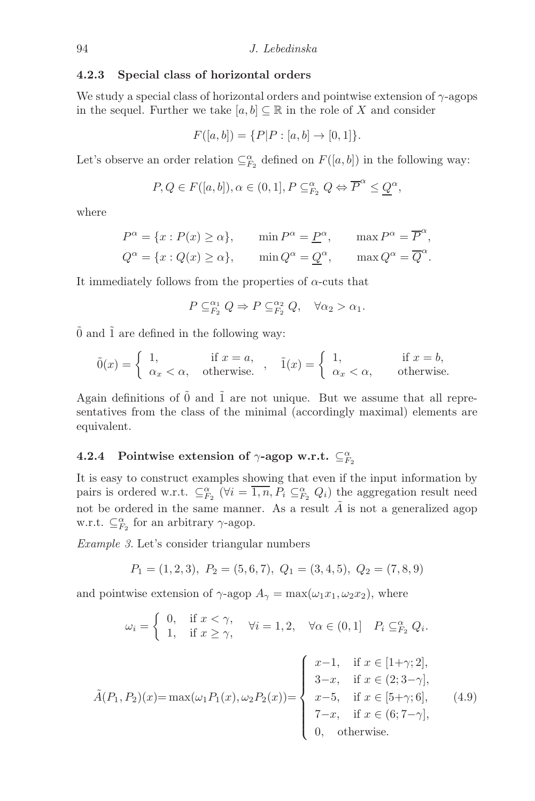#### 4.2.3 Special class of horizontal orders

We study a special class of horizontal orders and pointwise extension of  $\gamma$ -agops in the sequel. Further we take  $[a, b] \subset \mathbb{R}$  in the role of X and consider

$$
F([a, b]) = \{P|P : [a, b] \to [0, 1]\}.
$$

Let's observe an order relation  $\subseteq_{F_2}^{\alpha}$  defined on  $F([a, b])$  in the following way:

$$
P, Q \in F([a, b]), \alpha \in (0, 1], P \subseteq_{F_2}^{\alpha} Q \Leftrightarrow \overline{P}^{\alpha} \leq \underline{Q}^{\alpha},
$$

where

$$
P^{\alpha} = \{x : P(x) \ge \alpha\}, \quad \min P^{\alpha} = \underline{P}^{\alpha}, \quad \max P^{\alpha} = \overline{P}^{\alpha},
$$
  

$$
Q^{\alpha} = \{x : Q(x) \ge \alpha\}, \quad \min Q^{\alpha} = Q^{\alpha}, \quad \max Q^{\alpha} = \overline{Q}^{\alpha}.
$$

It immediately follows from the properties of  $\alpha$ -cuts that

$$
P \subseteq_{F_2}^{\alpha_1} Q \Rightarrow P \subseteq_{F_2}^{\alpha_2} Q, \quad \forall \alpha_2 > \alpha_1.
$$

 $\tilde{0}$  and  $\tilde{1}$  are defined in the following way:

$$
\tilde{0}(x) = \begin{cases} 1, & \text{if } x = a, \\ \alpha_x < \alpha, \text{ otherwise.} \end{cases}, \quad \tilde{1}(x) = \begin{cases} 1, & \text{if } x = b, \\ \alpha_x < \alpha, \text{ otherwise.} \end{cases}
$$

Again definitions of  $\tilde{0}$  and  $\tilde{1}$  are not unique. But we assume that all representatives from the class of the minimal (accordingly maximal) elements are equivalent.

# 4.2.4 Pointwise extension of  $\gamma$ -agop w.r.t.  $\subseteq_{F_2}^{\alpha}$

It is easy to construct examples showing that even if the input information by pairs is ordered w.r.t.  $\subseteq_{F_2}^{\alpha} (\forall i = \overline{1,n}, P_i \subseteq_{F_2}^{\alpha} Q_i)$  the aggregation result need not be ordered in the same manner. As a result  $\tilde{A}$  is not a generalized agop w.r.t.  $\subseteq_{F_2}^{\alpha}$  for an arbitrary  $\gamma$ -agop.

*Example 3.* Let's consider triangular numbers

$$
P_1 = (1, 2, 3), P_2 = (5, 6, 7), Q_1 = (3, 4, 5), Q_2 = (7, 8, 9)
$$

and pointwise extension of  $\gamma$ -agop  $A_{\gamma} = \max(\omega_1 x_1, \omega_2 x_2)$ , where

<span id="page-11-0"></span>
$$
\omega_i = \begin{cases} 0, & \text{if } x < \gamma, \\ 1, & \text{if } x \ge \gamma, \end{cases} \quad \forall i = 1, 2, \quad \forall \alpha \in (0, 1] \quad P_i \subseteq_{F_2}^{\alpha} Q_i.
$$

$$
\tilde{A}(P_1, P_2)(x) = \max(\omega_1 P_1(x), \omega_2 P_2(x)) = \begin{cases} x - 1, & \text{if } x \in [1 + \gamma; 2], \\ 3 - x, & \text{if } x \in (2; 3 - \gamma], \\ x - 5, & \text{if } x \in [5 + \gamma; 6], \\ 7 - x, & \text{if } x \in (6; 7 - \gamma], \\ 0, & \text{otherwise.} \end{cases}
$$
(4.9)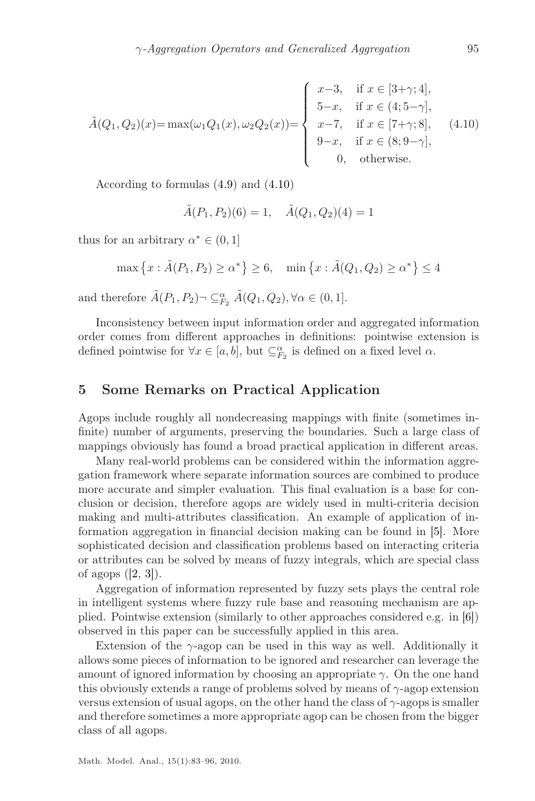<span id="page-12-1"></span>
$$
\tilde{A}(Q_1, Q_2)(x) = \max(\omega_1 Q_1(x), \omega_2 Q_2(x)) = \begin{cases}\nx - 3, & \text{if } x \in [3 + \gamma; 4], \\
5 - x, & \text{if } x \in (4; 5 - \gamma], \\
x - 7, & \text{if } x \in [7 + \gamma; 8], \\
9 - x, & \text{if } x \in (8; 9 - \gamma], \\
0, & \text{otherwise.} \n\end{cases}
$$
\n(4.10)

According to formulas [\(4.9\)](#page-11-0) and [\(4.10\)](#page-12-1)

$$
\tilde{A}(P_1, P_2)(6) = 1, \quad \tilde{A}(Q_1, Q_2)(4) = 1
$$

thus for an arbitrary  $\alpha^* \in (0,1]$ 

$$
\max \left\{ x : \tilde{A}(P_1, P_2) \ge \alpha^* \right\} \ge 6, \quad \min \left\{ x : \tilde{A}(Q_1, Q_2) \ge \alpha^* \right\} \le 4
$$

and therefore  $\tilde{A}(P_1, P_2) \neg \subseteq_{F_2}^{\alpha} \tilde{A}(Q_1, Q_2), \forall \alpha \in (0, 1].$ 

Inconsistency between input information order and aggregated information order comes from different approaches in definitions: pointwise extension is defined pointwise for  $\forall x \in [a, b]$ , but  $\subseteq_{F_2}^{\alpha}$  is defined on a fixed level  $\alpha$ .

#### <span id="page-12-0"></span>5 Some Remarks on Practical Application

Agops include roughly all nondecreasing mappings with finite (sometimes infinite) number of arguments, preserving the boundaries. Such a large class of mappings obviously has found a broad practical application in different areas.

Many real-world problems can be considered within the information aggregation framework where separate information sources are combined to produce more accurate and simpler evaluation. This final evaluation is a base for conclusion or decision, therefore agops are widely used in multi-criteria decision making and multi-attributes classification. An example of application of information aggregation in financial decision making can be found in [\[5\]](#page-13-6). More sophisticated decision and classification problems based on interacting criteria or attributes can be solved by means of fuzzy integrals, which are special class of agops  $([2, 3])$  $([2, 3])$  $([2, 3])$  $([2, 3])$  $([2, 3])$ .

Aggregation of information represented by fuzzy sets plays the central role in intelligent systems where fuzzy rule base and reasoning mechanism are applied. Pointwise extension (similarly to other approaches considered e.g. in [\[6\]](#page-13-7)) observed in this paper can be successfully applied in this area.

Extension of the  $\gamma$ -agop can be used in this way as well. Additionally it allows some pieces of information to be ignored and researcher can leverage the amount of ignored information by choosing an appropriate  $\gamma$ . On the one hand this obviously extends a range of problems solved by means of  $\gamma$ -agop extension versus extension of usual agops, on the other hand the class of  $\gamma$ -agops is smaller and therefore sometimes a more appropriate agop can be chosen from the bigger class of all agops.